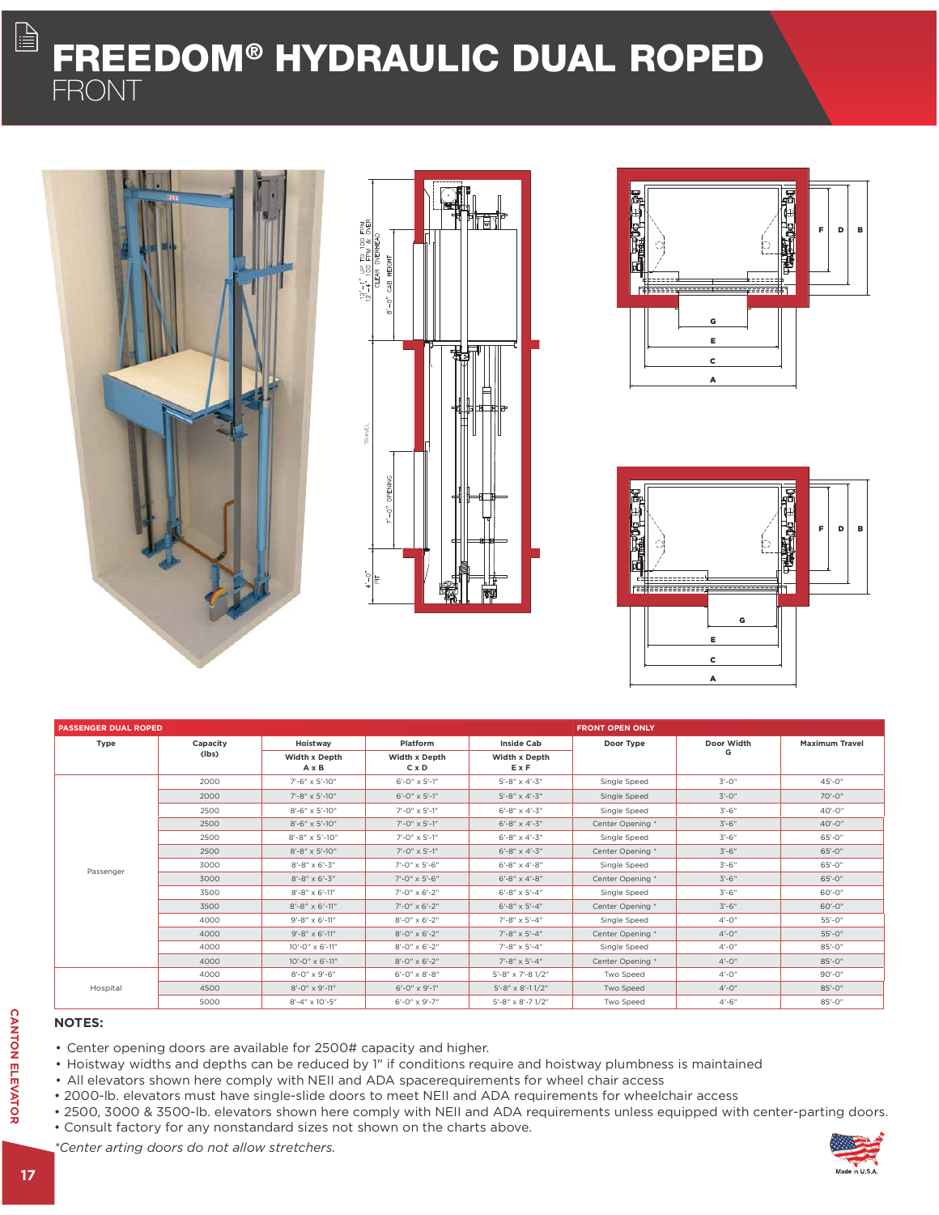# FREEDOM® HYDRAULIC DUAL ROPED FRONT









| <b>PASSENGER DUAL ROPED</b> |                   |                                           |                                           | <b>FRONT OPEN ONLY</b>     |                  |                 |                       |
|-----------------------------|-------------------|-------------------------------------------|-------------------------------------------|----------------------------|------------------|-----------------|-----------------------|
| Type                        | Capacity<br>(lbs) | Hoistway<br>Width x Depth<br>$A \times B$ | Platform<br>Width x Depth<br>$C \times D$ | <b>Inside Cab</b>          | Door Type        | Door Width<br>G | <b>Maximum Travel</b> |
|                             |                   |                                           |                                           | Width x Depth<br>ExF       |                  |                 |                       |
| Passenger                   | 2000              | 7'-6" x 5'-10"                            | $6'$ -0" $\times$ 5'-1"                   | $5' - 8'' \times 4' - 3''$ | Single Speed     | $3' - 0''$      | $45' - 0''$           |
|                             | 2000              | 7'-8" x 5'-10"                            | $6' - 0'' \times 5' - 1''$                | $5' - 8'' \times 4' - 3''$ | Single Speed     | $3'-0''$        | $70' - 0''$           |
|                             | 2500              | $8' - 6'' \times 5' - 10''$               | $7'$ -0" $\times$ 5'-1"                   | $6' - 8'' \times 4' - 3''$ | Single Speed     | $3' - 6''$      | $40' - 0''$           |
|                             | 2500              | $8' - 6'' \times 5' - 10''$               | $7'$ -0" $\times$ 5'-1"                   | $6' - 8'' \times 4' - 3''$ | Center Opening * | $3'-6''$        | $40 - 0$              |
|                             | 2500              | $8' - 8'' \times 5' - 10''$               | $7'$ -0" $\times$ 5'-1"                   | $6' - 8'' \times 4' - 3''$ | Single Speed     | $3'-6''$        | $65' - 0''$           |
|                             | 2500              | $8' - 8'' \times 5' - 10''$               | $7'$ -0" $\times$ 5'-1"                   | $6' - 8'' \times 4' - 3''$ | Center Opening * | $3' - 6''$      | $65' - 0''$           |
|                             | 3000              | $8' - 8'' \times 6' - 3''$                | 7'-0" x 5'-6"                             | $6' - 8'' \times 4' - 8''$ | Single Speed     | $3' - 6''$      | $65' - 0''$           |
|                             | 3000              | $8' - 8'' \times 6' - 3''$                | $7' - 0'' \times 5' - 6''$                | $6' - 8'' \times 4' - 8''$ | Center Opening * | $3'-6''$        | $65' - 0''$           |
|                             | 3500              | $8' - 8'' \times 6' - 11''$               | $7'$ -0" $\times$ 6'-2"                   | $6' - 8'' \times 5' - 4''$ | Single Speed     | $3' - 6''$      | 60'-0"                |
|                             | 3500              | $8' - 8'' \times 6' - 11''$               | $7'$ -0" $\times$ 6'-2"                   | $6' - 8'' \times 5' - 4''$ | Center Opening * | $3' - 6''$      | $60' - 0''$           |
|                             | 4000              | $9' - 8'' \times 6' - 11''$               | $8' - 0'' \times 6' - 2''$                | $7' - 8'' \times 5' - 4''$ | Single Speed     | $4'-0''$        | $55' - 0''$           |
|                             | 4000              | $9' - 8'' \times 6' - 11''$               | $8' - 0'' \times 6' - 2''$                | $7' - 8'' \times 5' - 4''$ | Center Opening * | $4'-0''$        | $55' - 0''$           |
|                             | 4000              | $10' - 0'' \times 6' - 11''$              | $8' - 0'' \times 6' - 2''$                | $7' - 8'' \times 5' - 4''$ | Single Speed     | $4'-0''$        | $85' - 0''$           |
|                             | 4000              | $10' - 0'' \times 6' - 11''$              | $8' - 0'' \times 6' - 2''$                | $7' - 8'' \times 5' - 4''$ | Center Opening * | $4'-0''$        | $85' - 0''$           |
| Hospital                    | 4000              | 8'-0" x 9'-6"                             | $6' - 0'' \times 8' - 8''$                | 5'-8" x 7'-8 1/2"          | Two Speed        | $4'-0''$        | $90' - 0''$           |
|                             | 4500              | $8' - 0'' \times 9' - 11''$               | $6'$ -0" $\times$ 9'-1"                   | $5'$ -8" x 8'-11/2"        | Two Speed        | $4'-0''$        | $85' - 0''$           |
|                             | 5000              | $8' - 4'' \times 10' - 5''$               | $6'$ -0" $\times$ 9'-7"                   | 5'-8" x 8'-7 1/2"          | Two Speed        | $4'-6''$        | $85' - 0''$           |

### NOTES:

- Center opening doors are available for 2500# capacity and higher.
- Hoistway widths and depths can be reduced by 1" if conditions require and hoistway plumbness is maintained
- All elevators shown here comply with NEII and ADA spacerequirements for wheel chair access
- 2000-lb. elevators must have single-slide doors to meet NEII and ADA requirements for wheelchair access
- 2500, 3000 & 3500-lb. elevators shown here comply with NEII and ADA requirements unless equipped with center-parting doors.
- Consult factory for any nonstandard sizes not shown on the charts above.

\*Center arting doors do not allow stretchers.

 $\begin{tabular}{|c|c|} \hline \quad \quad & \quad \quad & \quad \quad \\ \hline \quad \quad & \quad \quad & \quad \quad \\ \hline \quad \quad & \quad \quad & \quad \quad \\ \hline \end{tabular}$